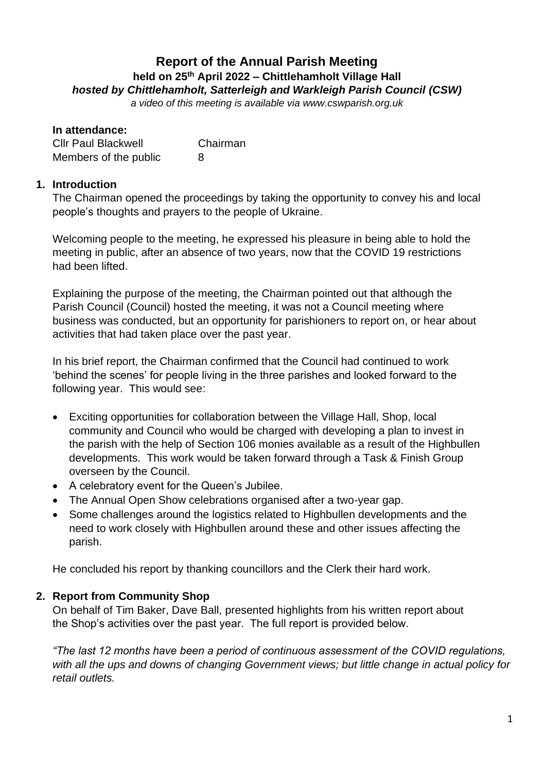## **Report of the Annual Parish Meeting held on 25 th April 2022 – Chittlehamholt Village Hall** *hosted by Chittlehamholt, Satterleigh and Warkleigh Parish Council (CSW)*

*a video of this meeting is available via www.cswparish.org.uk* 

| In attendance:             |          |
|----------------------------|----------|
| <b>Cllr Paul Blackwell</b> | Chairman |
| Members of the public      | 8        |

### **1. Introduction**

The Chairman opened the proceedings by taking the opportunity to convey his and local people's thoughts and prayers to the people of Ukraine.

Welcoming people to the meeting, he expressed his pleasure in being able to hold the meeting in public, after an absence of two years, now that the COVID 19 restrictions had been lifted.

Explaining the purpose of the meeting, the Chairman pointed out that although the Parish Council (Council) hosted the meeting, it was not a Council meeting where business was conducted, but an opportunity for parishioners to report on, or hear about activities that had taken place over the past year.

In his brief report, the Chairman confirmed that the Council had continued to work 'behind the scenes' for people living in the three parishes and looked forward to the following year. This would see:

- Exciting opportunities for collaboration between the Village Hall, Shop, local community and Council who would be charged with developing a plan to invest in the parish with the help of Section 106 monies available as a result of the Highbullen developments. This work would be taken forward through a Task & Finish Group overseen by the Council.
- A celebratory event for the Queen's Jubilee.
- The Annual Open Show celebrations organised after a two-year gap.
- Some challenges around the logistics related to Highbullen developments and the need to work closely with Highbullen around these and other issues affecting the parish.

He concluded his report by thanking councillors and the Clerk their hard work.

### **2. Report from Community Shop**

On behalf of Tim Baker, Dave Ball, presented highlights from his written report about the Shop's activities over the past year. The full report is provided below.

*"The last 12 months have been a period of continuous assessment of the COVID regulations, with all the ups and downs of changing Government views; but little change in actual policy for retail outlets.*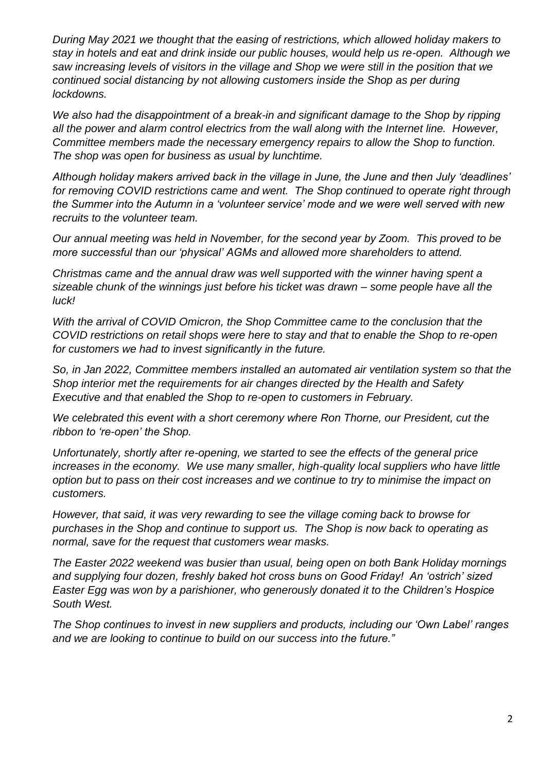*During May 2021 we thought that the easing of restrictions, which allowed holiday makers to stay in hotels and eat and drink inside our public houses, would help us re-open. Although we saw increasing levels of visitors in the village and Shop we were still in the position that we continued social distancing by not allowing customers inside the Shop as per during lockdowns.* 

*We also had the disappointment of a break-in and significant damage to the Shop by ripping all the power and alarm control electrics from the wall along with the Internet line. However, Committee members made the necessary emergency repairs to allow the Shop to function. The shop was open for business as usual by lunchtime.* 

*Although holiday makers arrived back in the village in June, the June and then July 'deadlines' for removing COVID restrictions came and went. The Shop continued to operate right through the Summer into the Autumn in a 'volunteer service' mode and we were well served with new recruits to the volunteer team.*

*Our annual meeting was held in November, for the second year by Zoom. This proved to be more successful than our 'physical' AGMs and allowed more shareholders to attend.*

*Christmas came and the annual draw was well supported with the winner having spent a sizeable chunk of the winnings just before his ticket was drawn – some people have all the luck!*

*With the arrival of COVID Omicron, the Shop Committee came to the conclusion that the COVID restrictions on retail shops were here to stay and that to enable the Shop to re-open for customers we had to invest significantly in the future.* 

*So, in Jan 2022, Committee members installed an automated air ventilation system so that the Shop interior met the requirements for air changes directed by the Health and Safety Executive and that enabled the Shop to re-open to customers in February.* 

*We celebrated this event with a short ceremony where Ron Thorne, our President, cut the ribbon to 're-open' the Shop.* 

*Unfortunately, shortly after re-opening, we started to see the effects of the general price increases in the economy.* We use many smaller, high-quality local suppliers who have little *option but to pass on their cost increases and we continue to try to minimise the impact on customers.* 

*However, that said, it was very rewarding to see the village coming back to browse for purchases in the Shop and continue to support us. The Shop is now back to operating as normal, save for the request that customers wear masks.*

*The Easter 2022 weekend was busier than usual, being open on both Bank Holiday mornings and supplying four dozen, freshly baked hot cross buns on Good Friday! An 'ostrich' sized Easter Egg was won by a parishioner, who generously donated it to the Children's Hospice South West.* 

*The Shop continues to invest in new suppliers and products, including our 'Own Label' ranges and we are looking to continue to build on our success into the future."*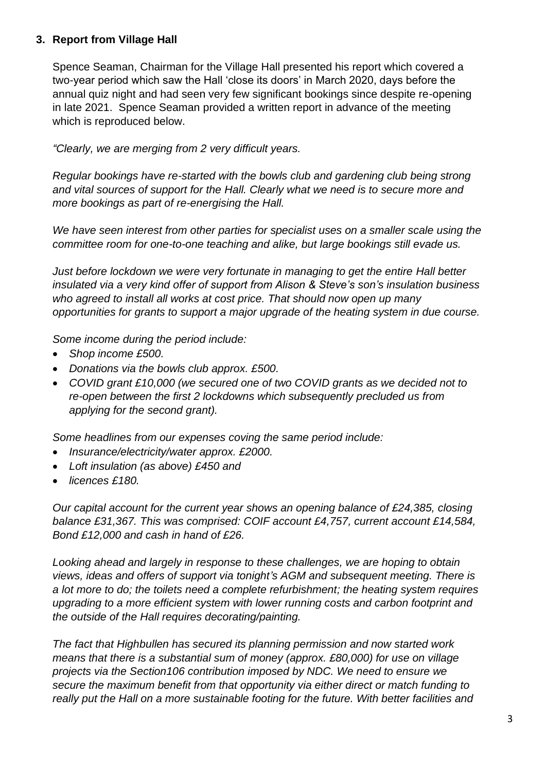### **3. Report from Village Hall**

Spence Seaman, Chairman for the Village Hall presented his report which covered a two-year period which saw the Hall 'close its doors' in March 2020, days before the annual quiz night and had seen very few significant bookings since despite re-opening in late 2021. Spence Seaman provided a written report in advance of the meeting which is reproduced below.

*"Clearly, we are merging from 2 very difficult years.* 

*Regular bookings have re-started with the bowls club and gardening club being strong and vital sources of support for the Hall. Clearly what we need is to secure more and more bookings as part of re-energising the Hall.*

*We have seen interest from other parties for specialist uses on a smaller scale using the committee room for one-to-one teaching and alike, but large bookings still evade us.*

*Just before lockdown we were very fortunate in managing to get the entire Hall better insulated via a very kind offer of support from Alison & Steve's son's insulation business who agreed to install all works at cost price. That should now open up many opportunities for grants to support a major upgrade of the heating system in due course.*

*Some income during the period include:*

- *Shop income £500.*
- *Donations via the bowls club approx. £500.*
- *COVID grant £10,000 (we secured one of two COVID grants as we decided not to re-open between the first 2 lockdowns which subsequently precluded us from applying for the second grant).*

*Some headlines from our expenses coving the same period include:* 

- *Insurance/electricity/water approx. £2000.*
- *Loft insulation (as above) £450 and*
- *licences £180.*

*Our capital account for the current year shows an opening balance of £24,385, closing balance £31,367. This was comprised: COIF account £4,757, current account £14,584, Bond £12,000 and cash in hand of £26.*

*Looking ahead and largely in response to these challenges, we are hoping to obtain views, ideas and offers of support via tonight's AGM and subsequent meeting. There is a lot more to do; the toilets need a complete refurbishment; the heating system requires upgrading to a more efficient system with lower running costs and carbon footprint and the outside of the Hall requires decorating/painting.*

*The fact that Highbullen has secured its planning permission and now started work means that there is a substantial sum of money (approx. £80,000) for use on village projects via the Section106 contribution imposed by NDC. We need to ensure we secure the maximum benefit from that opportunity via either direct or match funding to really put the Hall on a more sustainable footing for the future. With better facilities and*